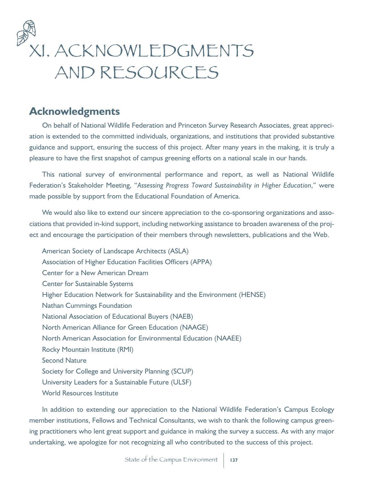

# **Acknowledgments**

On behalf of National Wildlife Federation and Princeton Survey Research Associates, great appreciation is extended to the committed individuals, organizations, and institutions that provided substantive guidance and support, ensuring the success of this project. After many years in the making, it is truly a pleasure to have the first snapshot of campus greening efforts on a national scale in our hands.

This national survey of environmental performance and report, as well as National Wildlife Federation's Stakeholder Meeting, "*Assessing Progress Toward Sustainability in Higher Education*," were made possible by support from the Educational Foundation of America.

We would also like to extend our sincere appreciation to the co-sponsoring organizations and associations that provided in-kind support, including networking assistance to broaden awareness of the project and encourage the participation of their members through newsletters, publications and the Web.

American Society of Landscape Architects (ASLA) Association of Higher Education Facilities Officers (APPA) Center for a New American Dream Center for Sustainable Systems Higher Education Network for Sustainability and the Environment (HENSE) Nathan Cummings Foundation National Association of Educational Buyers (NAEB) North American Alliance for Green Education (NAAGE) North American Association for Environmental Education (NAAEE) Rocky Mountain Institute (RMI) Second Nature Society for College and University Planning (SCUP) University Leaders for a Sustainable Future (ULSF) World Resources Institute

In addition to extending our appreciation to the National Wildlife Federation's Campus Ecology member institutions, Fellows and Technical Consultants, we wish to thank the following campus greening practitioners who lent great support and guidance in making the survey a success. As with any major undertaking, we apologize for not recognizing all who contributed to the success of this project.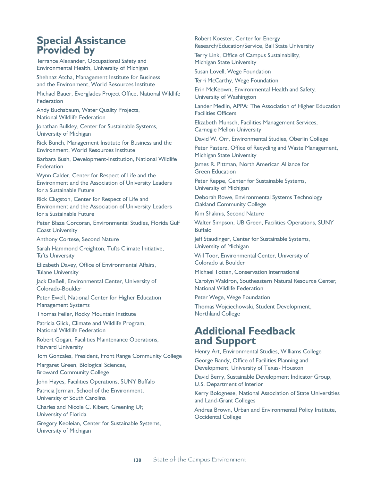## **Special Assistance Provided by**

Terrance Alexander, Occupational Safety and Environmental Health, University of Michigan

Shehnaz Atcha, Management Institute for Business and the Environment, World Resources Institute

Michael Bauer, Everglades Project Office, National Wildlife Federation

Andy Buchsbaum, Water Quality Projects, National Wildlife Federation

Jonathan Bulkley, Center for Sustainable Systems, University of Michigan

Rick Bunch, Management Institute for Business and the Environment, World Resources Institute

Barbara Bush, Development-Institution, National Wildlife Federation

Wynn Calder, Center for Respect of Life and the Environment and the Association of University Leaders for a Sustainable Future

Rick Clugston, Center for Respect of Life and Environment and the Association of University Leaders for a Sustainable Future

Peter Blaze Corcoran, Environmental Studies, Florida Gulf Coast University

Anthony Cortese, Second Nature

Sarah Hammond Creighton, Tufts Climate Initiative, Tufts University

Elizabeth Davey, Office of Environmental Affairs, Tulane University

Jack DeBell, Environmental Center, University of Colorado-Boulder

Peter Ewell, National Center for Higher Education Management Systems

Thomas Feiler, Rocky Mountain Institute

Patricia Glick, Climate and Wildlife Program, National Wildlife Federation

Robert Gogan, Facilities Maintenance Operations, Harvard University

Tom Gonzales, President, Front Range Community College

Margaret Green, Biological Sciences, Broward Community College

John Hayes, Facilities Operations, SUNY Buffalo

Patricia Jerman, School of the Environment, University of South Carolina

Charles and Nicole C. Kibert, Greening UF, University of Florida

Gregory Keoleian, Center for Sustainable Systems, University of Michigan

Robert Koester, Center for Energy Research/Education/Service, Ball State University

Terry Link, Office of Campus Sustainability, Michigan State University

Susan Lovell, Wege Foundation

Terri McCarthy, Wege Foundation

Erin McKeown, Environmental Health and Safety, University of Washington

Lander Medlin, APPA: The Association of Higher Education Facilities Officers

Elizabeth Munsch, Facilities Management Services, Carnegie Mellon University

David W. Orr, Environmental Studies, Oberlin College

Peter Pasterz, Office of Recycling and Waste Management, Michigan State University

James R. Pittman, North American Alliance for Green Education

Peter Reppe, Center for Sustainable Systems, University of Michigan

Deborah Rowe, Environmental Systems Technology, Oakland Community College

Kim Shaknis, Second Nature

Walter Simpson, UB Green, Facilities Operations, SUNY Buffalo

Jeff Staudinger, Center for Sustainable Systems, University of Michigan

Will Toor, Environmental Center, University of Colorado at Boulder

Michael Totten, Conservation International

Carolyn Waldron, Southeastern Natural Resource Center, National Wildlife Federation

Peter Wege, Wege Foundation

Thomas Wojciechowski, Student Development, Northland College

## **Additional Feedback and Support**

Henry Art, Environmental Studies, Williams College

George Bandy, Office of Facilities Planning and Development, University of Texas- Houston

David Berry, Sustainable Development Indicator Group, U.S. Department of Interior

Kerry Bolognese, National Association of State Universities and Land-Grant Colleges

Andrea Brown, Urban and Environmental Policy Institute, Occidental College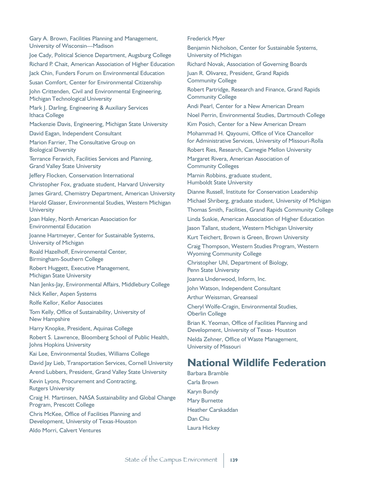Gary A. Brown, Facilities Planning and Management, University of Wisconsin—Madison Joe Cady, Political Science Department, Augsburg College Richard P. Chait, American Association of Higher Education Jack Chin, Funders Forum on Environmental Education Susan Comfort, Center for Environmental Citizenship John Crittenden, Civil and Environmental Engineering, Michigan Technological University Mark J. Darling, Engineering & Auxiliary Services Ithaca College Mackenzie Davis, Engineering, Michigan State University David Eagan, Independent Consultant Marion Farrier, The Consultative Group on Biological Diversity Terrance Feravich, Facilities Services and Planning, Grand Valley State University Jeffery Flocken, Conservation International Christopher Fox, graduate student, Harvard University James Girard, Chemistry Department, American University Harold Glasser, Environmental Studies, Western Michigan **University** Joan Haley, North American Association for Environmental Education Joanne Hartmeyer, Center for Sustainable Systems, University of Michigan Roald Hazelhoff, Environmental Center, Birmingham-Southern College Robert Huggett, Executive Management, Michigan State University Nan Jenks-Jay, Environmental Affairs, Middlebury College Nick Keller, Aspen Systems Rolfe Kellor, Kellor Associates Tom Kelly, Office of Sustainability, University of New Hampshire Harry Knopke, President, Aquinas College Robert S. Lawrence, Bloomberg School of Public Health, Johns Hopkins University Kai Lee, Environmental Studies, Williams College David Jay Lieb, Transportation Services, Cornell University Arend Lubbers, President, Grand Valley State University Kevin Lyons, Procurement and Contracting, Rutgers University Craig H. Martinsen, NASA Sustainability and Global Change Program, Prescott College Chris McKee, Office of Facilities Planning and Development, University of Texas-Houston Aldo Morri, Calvert Ventures

Frederick Myer

Benjamin Nicholson, Center for Sustainable Systems, University of Michigan

Richard Novak, Association of Governing Boards

Juan R. Olivarez, President, Grand Rapids Community College

Robert Partridge, Research and Finance, Grand Rapids Community College

Andi Pearl, Center for a New American Dream

Noel Perrin, Environmental Studies, Dartmouth College

Kim Posich, Center for a New American Dream

Mohammad H. Qayoumi, Office of Vice Chancellor for Administrative Services, University of Missouri-Rolla

Robert Ries, Research, Carnegie Mellon University

Margaret Rivera, American Association of Community Colleges

Marnin Robbins, graduate student, Humboldt State University

Dianne Russell, Institute for Conservation Leadership

Michael Shriberg, graduate student, University of Michigan

Thomas Smith, Facilities, Grand Rapids Community College

Linda Suskie, American Association of Higher Education

Jason Tallant, student, Western Michigan University

Kurt Teichert, Brown is Green, Brown University

Craig Thompson, Western Studies Program, Western Wyoming Community College

Christopher Uhl, Department of Biology, Penn State University

Joanna Underwood, Inform, Inc.

John Watson, Independent Consultant

Arthur Weissman, Greanseal

Cheryl Wolfe-Cragin, Environmental Studies, Oberlin College

Brian K. Yeoman, Office of Facilities Planning and Development, University of Texas- Houston

Nelda Zehner, Office of Waste Management, University of Missouri

## **National Wildlife Federation**

Barbara Bramble Carla Brown Karyn Bundy Mary Burnette Heather Carskaddan Dan Chu Laura Hickey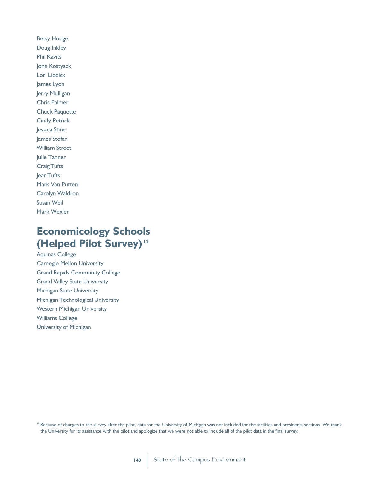Betsy Hodge Doug Inkley Phil Kavits John Kostyack Lori Liddick James Lyon Jerry Mulligan Chris Palmer Chuck Paquette Cindy Petrick Jessica Stine James Stofan William Street Julie Tanner Craig Tufts Jean Tufts Mark Van Putten Carolyn Waldron Susan Weil Mark Wexler

# **Economicology Schools (Helped Pilot Survey)<sup>12</sup>**

Aquinas College Carnegie Mellon University Grand Rapids Community College Grand Valley State University Michigan State University Michigan Technological University Western Michigan University Williams College University of Michigan

<sup>12</sup> Because of changes to the survey after the pilot, data for the University of Michigan was not included for the facilities and presidents sections. We thank the University for its assistance with the pilot and apologize that we were not able to include all of the pilot data in the final survey.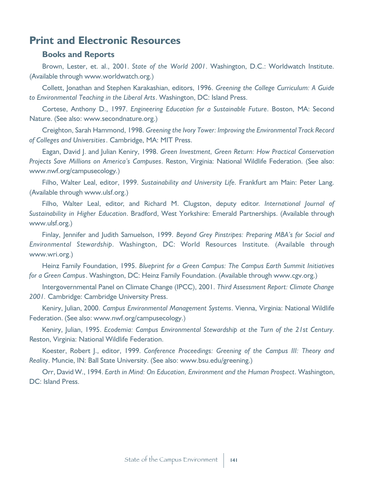## **Print and Electronic Resources**

### **Books and Reports**

Brown, Lester, et. al., 2001. *State of the World 2001*. Washington, D.C.: Worldwatch Institute. (Available through www.worldwatch.org.)

Collett, Jonathan and Stephen Karakashian, editors, 1996. *Greening the College Curriculum: A Guide to Environmental Teaching in the Liberal Arts*. Washington, DC: Island Press.

Cortese, Anthony D., 1997. *Engineering Education for a Sustainable Future*. Boston, MA: Second Nature. (See also: www.secondnature.org.)

Creighton, Sarah Hammond, 1998. *Greening the Ivory Tower: Improving the Environmental Track Record of Colleges and Universities*. Cambridge, MA: MIT Press.

Eagan, David J. and Julian Keniry, 1998. *Green Investment, Green Return: How Practical Conservation Projects Save Millions on America's Campuses*. Reston, Virginia: National Wildlife Federation. (See also: www.nwf.org/campusecology.)

Filho, Walter Leal, editor, 1999. *Sustainability and University Life*. Frankfurt am Main: Peter Lang. (Available through www.ulsf.org.)

Filho, Walter Leal, editor, and Richard M. Clugston, deputy editor. *International Journal of Sustainability in Higher Education*. Bradford, West Yorkshire: Emerald Partnerships. (Available through www.ulsf.org.)

Finlay, Jennifer and Judith Samuelson, 1999. *Beyond Grey Pinstripes: Preparing MBA's for Social and Environmental Stewardship*. Washington, DC: World Resources Institute. (Available through www.wri.org.)

Heinz Family Foundation, 1995. *Blueprint for a Green Campus: The Campus Earth Summit Initiatives for a Green Campus*. Washington, DC: Heinz Family Foundation. (Available through www.cgv.org.)

Intergovernmental Panel on Climate Change (IPCC), 2001. *Third Assessment Report: Climate Change 2001.* Cambridge: Cambridge University Press.

Keniry, Julian, 2000. *Campus Environmental Management Systems*. Vienna, Virginia: National Wildlife Federation. (See also: www.nwf.org/campusecology.)

Keniry, Julian, 1995. *Ecodemia: Campus Environmental Stewardship at the Turn of the 21st Century*. Reston, Virginia: National Wildlife Federation.

Koester, Robert J., editor, 1999. *Conference Proceedings: Greening of the Campus III: Theory and Reality*. Muncie, IN: Ball State University. (See also: www.bsu.edu/greening.)

Orr, David W., 1994. *Earth in Mind: On Education, Environment and the Human Prospect*. Washington, DC: Island Press.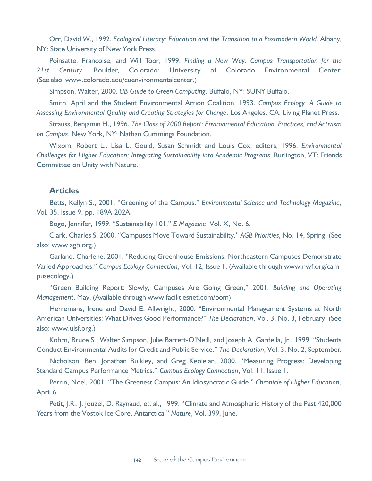Orr, David W., 1992. *Ecological Literacy: Education and the Transition to a Postmodern World*. Albany, NY: State University of New York Press.

Poinsatte, Francoise, and Will Toor, 1999. *Finding a New Way: Campus Transportation for the 21st Century*. Boulder, Colorado: University of Colorado Environmental Center. (See also: www.colorado.edu/cuenvironmentalcenter.)

Simpson, Walter, 2000. *UB Guide to Green Computing*. Buffalo, NY: SUNY Buffalo.

Smith, April and the Student Environmental Action Coalition, 1993. *Campus Ecology: A Guide to Assessing Environmental Quality and Creating Strategies for Change*. Los Angeles, CA: Living Planet Press.

Strauss, Benjamin H., 1996. *The Class of 2000 Report: Environmental Education, Practices, and Activism on Campus*. New York, NY: Nathan Cummings Foundation.

Wixom, Robert L., Lisa L. Gould, Susan Schmidt and Louis Cox, editors, 1996. *Environmental Challenges for Higher Education: Integrating Sustainability into Academic Programs*. Burlington, VT: Friends Committee on Unity with Nature.

#### **Articles**

Betts, Kellyn S., 2001. "Greening of the Campus." *Environmental Science and Technology Magazine*, Vol. 35, Issue 9, pp. 189A-202A.

Bogo, Jennifer, 1999. "Sustainability 101." *E Magazine*, Vol. X, No. 6.

Clark, Charles S, 2000. "Campuses Move Toward Sustainability." *AGB Priorities*, No. 14, Spring. (See also: www.agb.org.)

Garland, Charlene, 2001. "Reducing Greenhouse Emissions: Northeastern Campuses Demonstrate Varied Approaches." *Campus Ecology Connection*, Vol. 12, Issue 1. (Available through www.nwf.org/campusecology.)

"Green Building Report: Slowly, Campuses Are Going Green," 2001. *Building and Operating Management*, May. (Available through www.facilitiesnet.com/bom)

Herremans, Irene and David E. Allwright, 2000. "Environmental Management Systems at North American Universities: What Drives Good Performance?" *The Declaration*, Vol. 3, No. 3, February. (See also: www.ulsf.org.)

Kohrn, Bruce S., Walter Simpson, Julie Barrett-O'Neill, and Joseph A. Gardella, Jr.. 1999. "Students Conduct Environmental Audits for Credit and Public Service." *The Declaration*, Vol. 3, No. 2, September.

Nicholson, Ben, Jonathan Bulkley, and Greg Keoleian, 2000. "Measuring Progress: Developing Standard Campus Performance Metrics." *Campus Ecology Connection*, Vol. 11, Issue 1.

Perrin, Noel, 2001. "The Greenest Campus: An Idiosyncratic Guide." *Chronicle of Higher Education*, April 6.

Petit, J.R., J. Jouzel, D. Raynaud, et. al., 1999. "Climate and Atmospheric History of the Past 420,000 Years from the Vostok Ice Core, Antarctica." *Nature*, Vol. 399, June.